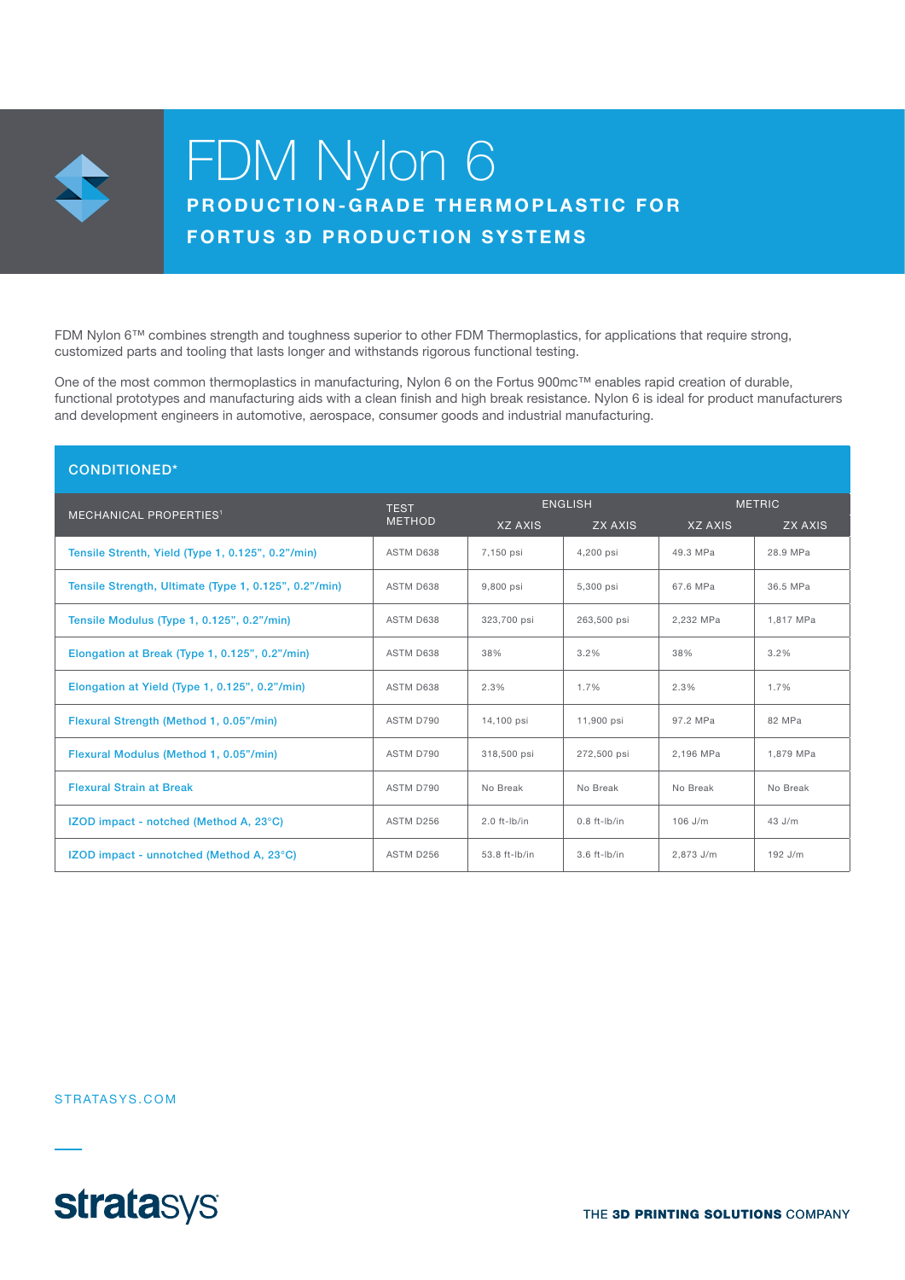

# FDM Nylon 6 PRODUCTION-GRADE THERMOPLASTIC FOR

## **FORTUS 3D PRODUCTION SYSTEMS**

FDM Nylon 6™ combines strength and toughness superior to other FDM Thermoplastics, for applications that require strong, customized parts and tooling that lasts longer and withstands rigorous functional testing.

One of the most common thermoplastics in manufacturing, Nylon 6 on the Fortus 900mc™ enables rapid creation of durable, functional prototypes and manufacturing aids with a clean finish and high break resistance. Nylon 6 is ideal for product manufacturers and development engineers in automotive, aerospace, consumer goods and industrial manufacturing.

| <b>CONDITIONED*</b>                                   |                              |                   |                   |                |                |  |  |
|-------------------------------------------------------|------------------------------|-------------------|-------------------|----------------|----------------|--|--|
| <b>MECHANICAL PROPERTIES<sup>1</sup></b>              | <b>TEST</b><br><b>METHOD</b> | <b>ENGLISH</b>    |                   | <b>METRIC</b>  |                |  |  |
|                                                       |                              | <b>XZ AXIS</b>    | <b>ZX AXIS</b>    | <b>XZ AXIS</b> | <b>ZX AXIS</b> |  |  |
| Tensile Strenth, Yield (Type 1, 0.125", 0.2"/min)     | ASTM D638                    | 7,150 psi         | 4,200 psi         | 49.3 MPa       | 28.9 MPa       |  |  |
| Tensile Strength, Ultimate (Type 1, 0.125", 0.2"/min) | ASTM D638                    | 9,800 psi         | 5,300 psi         | 67.6 MPa       | 36.5 MPa       |  |  |
| Tensile Modulus (Type 1, 0.125", 0.2"/min)            | ASTM D638                    | 323,700 psi       | 263,500 psi       | 2,232 MPa      | 1,817 MPa      |  |  |
| Elongation at Break (Type 1, 0.125", 0.2"/min)        | ASTM D638                    | 38%               | 3.2%              | 38%            | 3.2%           |  |  |
| Elongation at Yield (Type 1, 0.125", 0.2"/min)        | ASTM D638                    | 2.3%              | 1.7%              | 2.3%           | 1.7%           |  |  |
| Flexural Strength (Method 1, 0.05"/min)               | ASTM D790                    | 14,100 psi        | 11,900 psi        | 97.2 MPa       | 82 MPa         |  |  |
| Flexural Modulus (Method 1, 0.05"/min)                | ASTM D790                    | 318,500 psi       | 272,500 psi       | 2,196 MPa      | 1,879 MPa      |  |  |
| <b>Flexural Strain at Break</b>                       | ASTM D790                    | No Break          | No Break          | No Break       | No Break       |  |  |
| IZOD impact - notched (Method A, 23°C)                | ASTM D256                    | $2.0$ ft- $lb/in$ | $0.8$ ft- $lb/in$ | 106 J/m        | 43 J/m         |  |  |
| IZOD impact - unnotched (Method A, 23°C)              | ASTM D256                    | 53.8 ft-lb/in     | $3.6$ ft- $lb/in$ | 2.873 J/m      | 192 J/m        |  |  |

STRATASYS.COM